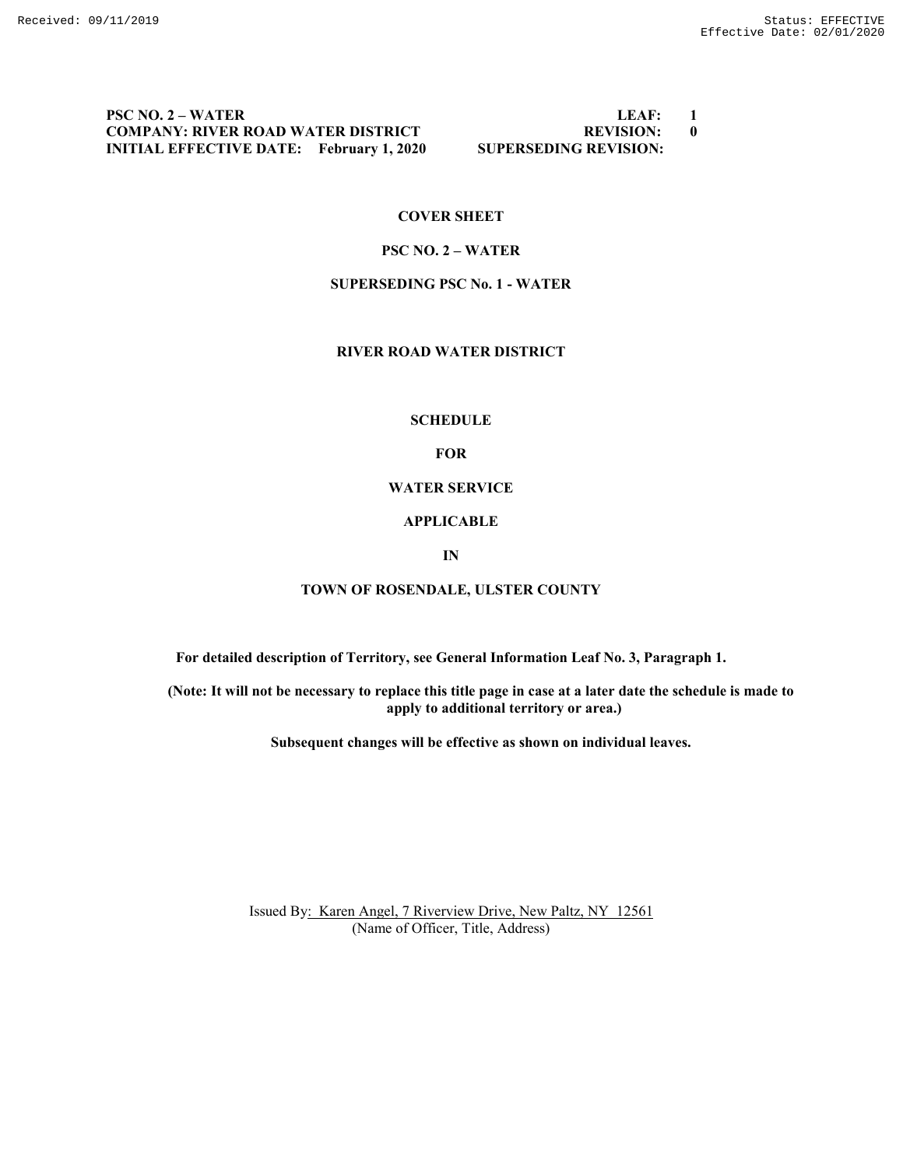# **PSC NO. 2 – WATER LEAF: 1 COMPANY: RIVER ROAD WATER DISTRICT REVISION: 0 INITIAL EFFECTIVE DATE: February 1, 2020 SUPERSEDING REVISION:**

### **COVER SHEET**

# **PSC NO. 2 – WATER**

#### **SUPERSEDING PSC No. 1 - WATER**

# **RIVER ROAD WATER DISTRICT**

#### **SCHEDULE**

# **FOR**

# **WATER SERVICE**

#### **APPLICABLE**

#### **IN**

#### **TOWN OF ROSENDALE, ULSTER COUNTY**

**For detailed description of Territory, see General Information Leaf No. 3, Paragraph 1.**

**(Note: It will not be necessary to replace this title page in case at a later date the schedule is made to apply to additional territory or area.)**

**Subsequent changes will be effective as shown on individual leaves.**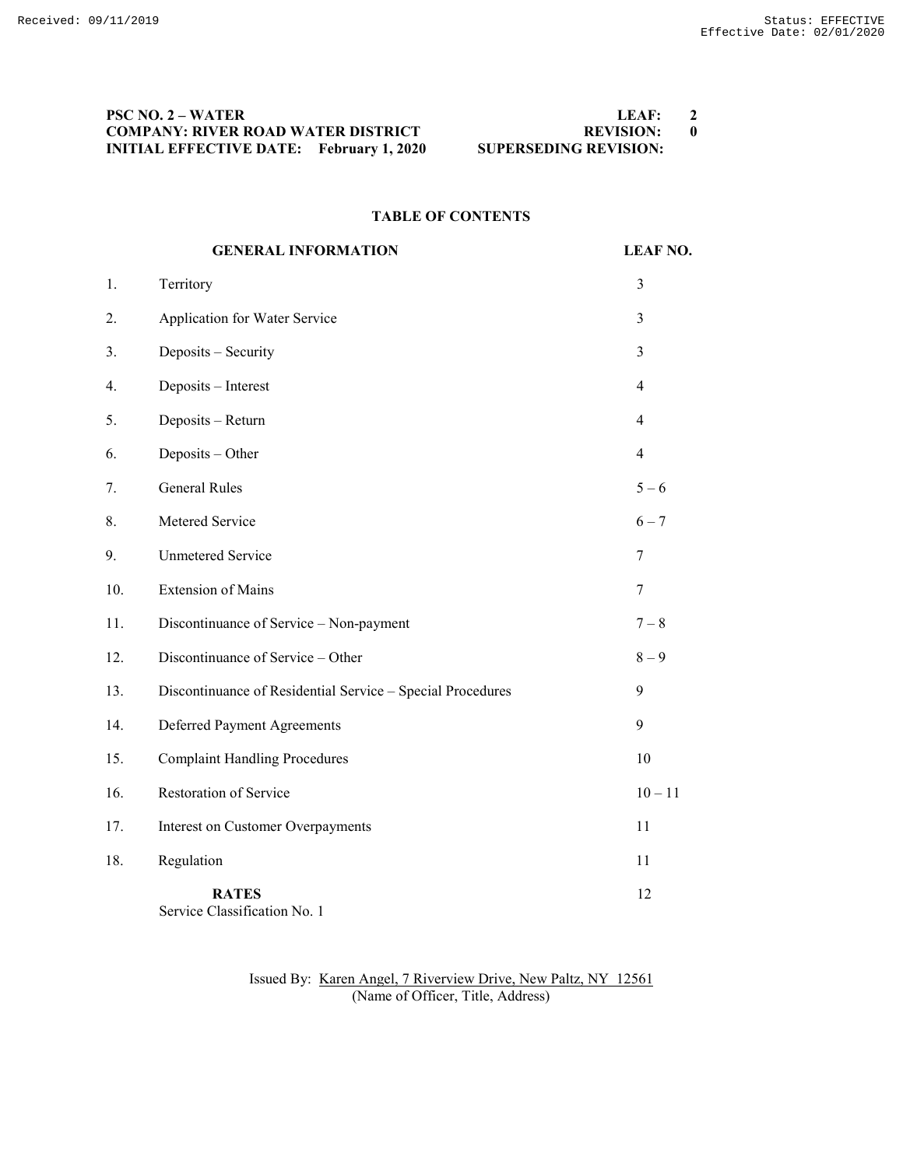# **PSC NO. 2 – WATER LEAF: 2 COMPANY: RIVER ROAD WATER DISTRICT REVISION: 0 INITIAL EFFECTIVE DATE: February 1, 2020 SUPERSEDING REVISION:**

#### **TABLE OF CONTENTS**

|     | <b>GENERAL INFORMATION</b>                                 | <b>LEAF NO.</b> |
|-----|------------------------------------------------------------|-----------------|
| 1.  | Territory                                                  | 3               |
| 2.  | Application for Water Service                              | 3               |
| 3.  | Deposits - Security                                        | 3               |
| 4.  | Deposits - Interest                                        | $\overline{4}$  |
| 5.  | Deposits - Return                                          | 4               |
| 6.  | Deposits - Other                                           | $\overline{4}$  |
| 7.  | <b>General Rules</b>                                       | $5 - 6$         |
| 8.  | Metered Service                                            | $6 - 7$         |
| 9.  | <b>Unmetered Service</b>                                   | 7               |
| 10. | <b>Extension of Mains</b>                                  | 7               |
| 11. | Discontinuance of Service - Non-payment                    | $7 - 8$         |
| 12. | Discontinuance of Service - Other                          | $8-9$           |
| 13. | Discontinuance of Residential Service - Special Procedures | 9               |
| 14. | Deferred Payment Agreements                                | 9               |
| 15. | <b>Complaint Handling Procedures</b>                       | 10              |
| 16. | Restoration of Service                                     | $10 - 11$       |
| 17. | Interest on Customer Overpayments                          | 11              |
| 18. | Regulation                                                 | 11              |
|     | <b>RATES</b><br>Service Classification No. 1               | 12              |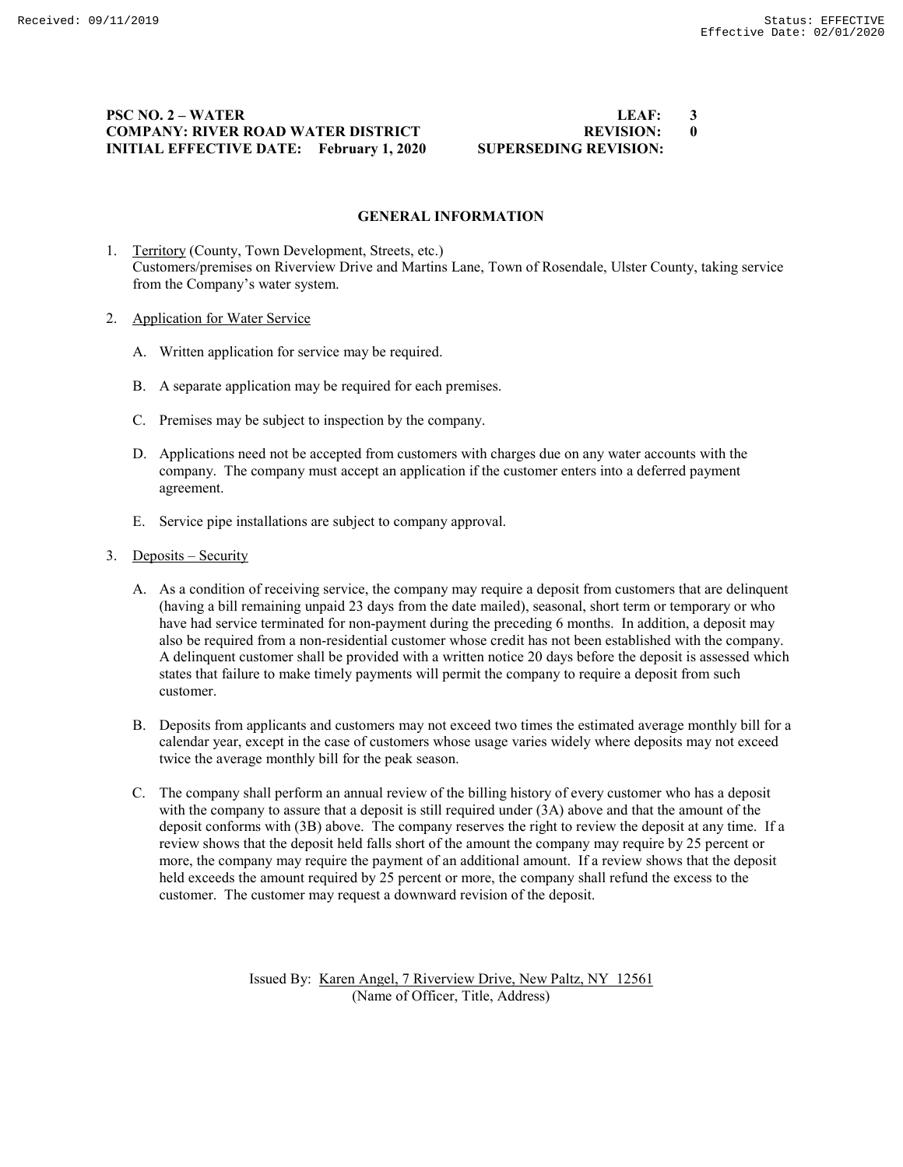# **PSC NO. 2 – WATER LEAF: 3 COMPANY: RIVER ROAD WATER DISTRICT REVISION: 0 INITIAL EFFECTIVE DATE: February 1, 2020 SUPERSEDING REVISION:**

#### **GENERAL INFORMATION**

- 1. Territory (County, Town Development, Streets, etc.) Customers/premises on Riverview Drive and Martins Lane, Town of Rosendale, Ulster County, taking service from the Company's water system.
- 2. Application for Water Service
	- A. Written application for service may be required.
	- B. A separate application may be required for each premises.
	- C. Premises may be subject to inspection by the company.
	- D. Applications need not be accepted from customers with charges due on any water accounts with the company. The company must accept an application if the customer enters into a deferred payment agreement.
	- E. Service pipe installations are subject to company approval.
- 3. Deposits Security
	- A. As a condition of receiving service, the company may require a deposit from customers that are delinquent (having a bill remaining unpaid 23 days from the date mailed), seasonal, short term or temporary or who have had service terminated for non-payment during the preceding 6 months. In addition, a deposit may also be required from a non-residential customer whose credit has not been established with the company. A delinquent customer shall be provided with a written notice 20 days before the deposit is assessed which states that failure to make timely payments will permit the company to require a deposit from such customer.
	- B. Deposits from applicants and customers may not exceed two times the estimated average monthly bill for a calendar year, except in the case of customers whose usage varies widely where deposits may not exceed twice the average monthly bill for the peak season.
	- C. The company shall perform an annual review of the billing history of every customer who has a deposit with the company to assure that a deposit is still required under (3A) above and that the amount of the deposit conforms with (3B) above. The company reserves the right to review the deposit at any time. If a review shows that the deposit held falls short of the amount the company may require by 25 percent or more, the company may require the payment of an additional amount. If a review shows that the deposit held exceeds the amount required by 25 percent or more, the company shall refund the excess to the customer. The customer may request a downward revision of the deposit.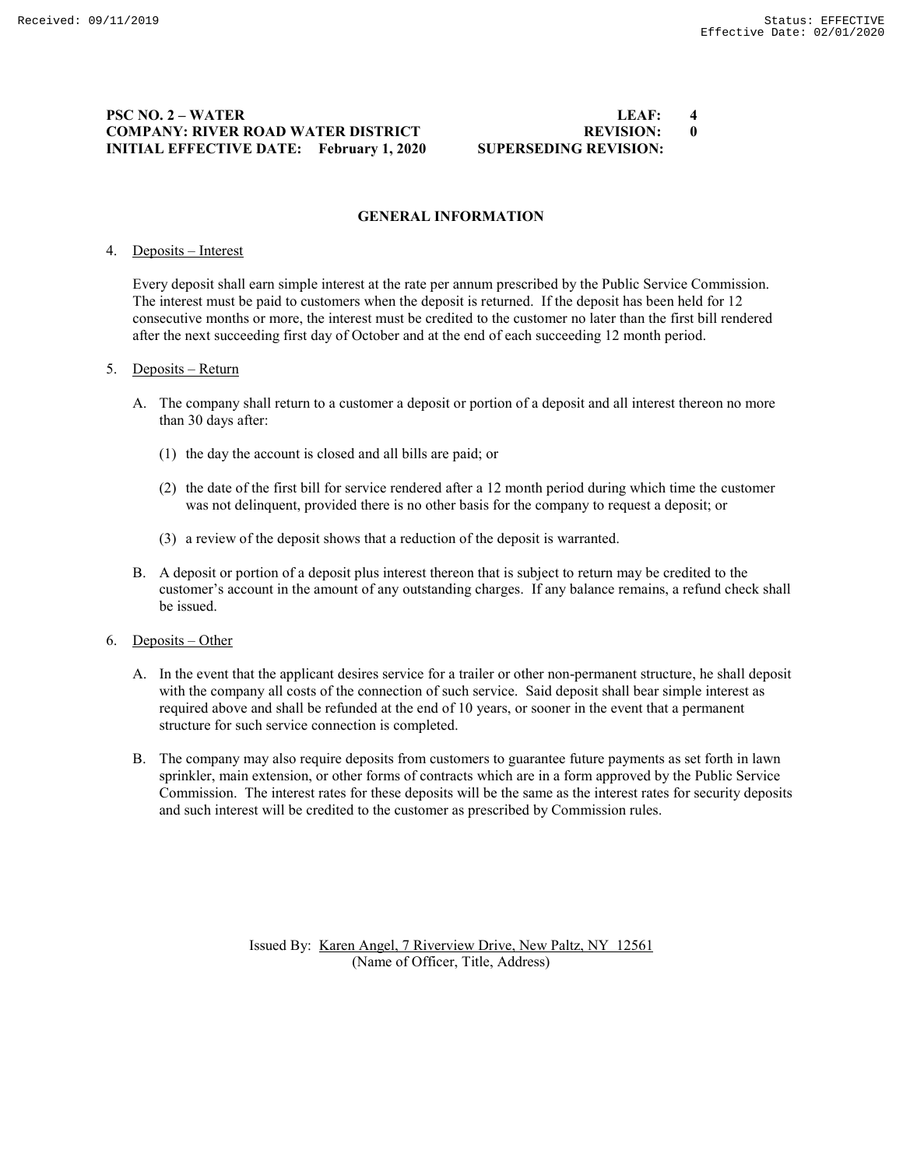# **PSC NO. 2 – WATER LEAF: 4 COMPANY: RIVER ROAD WATER DISTRICT REVISION: 0 INITIAL EFFECTIVE DATE: February 1, 2020 SUPERSEDING REVISION:**

# **GENERAL INFORMATION**

#### 4. Deposits – Interest

Every deposit shall earn simple interest at the rate per annum prescribed by the Public Service Commission. The interest must be paid to customers when the deposit is returned. If the deposit has been held for 12 consecutive months or more, the interest must be credited to the customer no later than the first bill rendered after the next succeeding first day of October and at the end of each succeeding 12 month period.

#### 5. Deposits – Return

- A. The company shall return to a customer a deposit or portion of a deposit and all interest thereon no more than 30 days after:
	- (1) the day the account is closed and all bills are paid; or
	- (2) the date of the first bill for service rendered after a 12 month period during which time the customer was not delinquent, provided there is no other basis for the company to request a deposit; or
	- (3) a review of the deposit shows that a reduction of the deposit is warranted.
- B. A deposit or portion of a deposit plus interest thereon that is subject to return may be credited to the customer's account in the amount of any outstanding charges. If any balance remains, a refund check shall be issued.

#### 6. Deposits – Other

- A. In the event that the applicant desires service for a trailer or other non-permanent structure, he shall deposit with the company all costs of the connection of such service. Said deposit shall bear simple interest as required above and shall be refunded at the end of 10 years, or sooner in the event that a permanent structure for such service connection is completed.
- B. The company may also require deposits from customers to guarantee future payments as set forth in lawn sprinkler, main extension, or other forms of contracts which are in a form approved by the Public Service Commission. The interest rates for these deposits will be the same as the interest rates for security deposits and such interest will be credited to the customer as prescribed by Commission rules.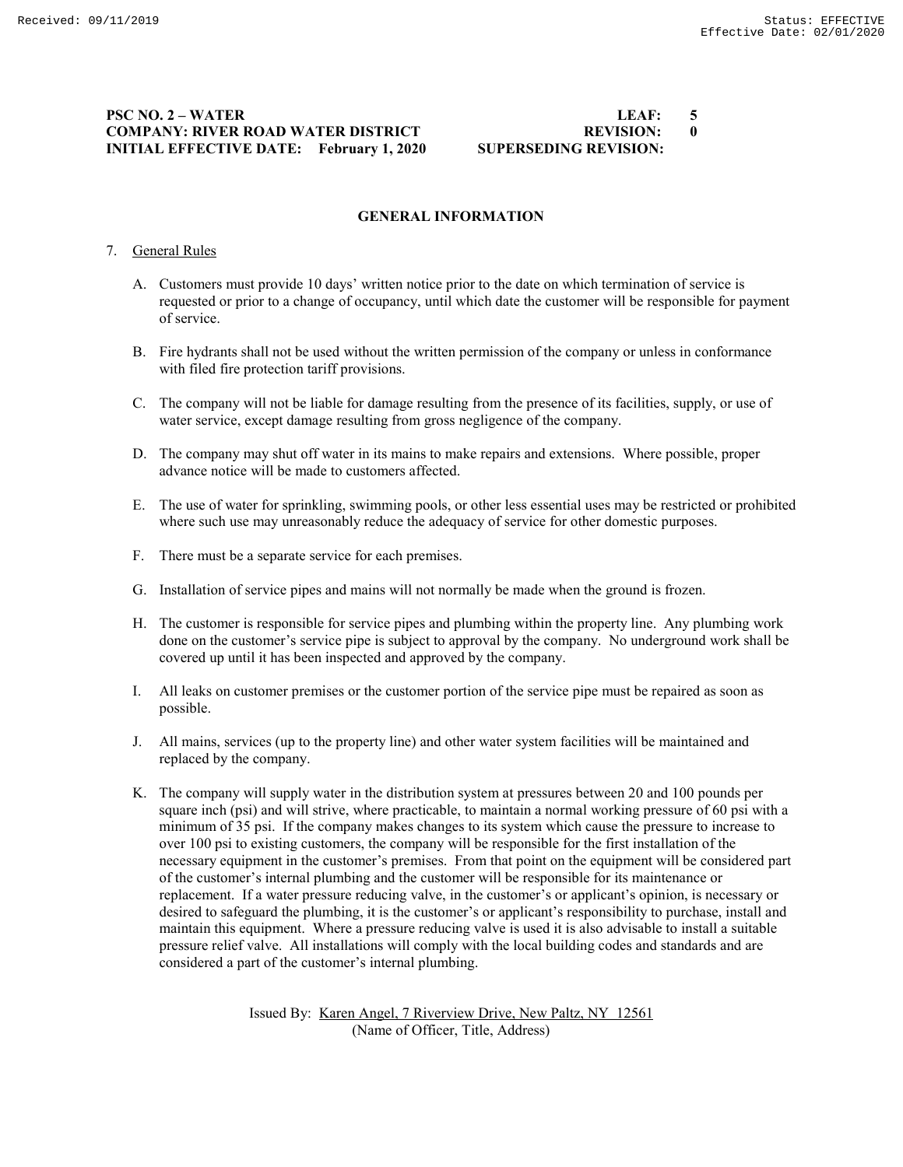# **PSC NO. 2 – WATER LEAF: 5 COMPANY: RIVER ROAD WATER DISTRICT BEVISION: 0 INITIAL EFFECTIVE DATE: February 1, 2020 SUPERSEDING REVISION:**

# **GENERAL INFORMATION**

### 7. General Rules

- A. Customers must provide 10 days' written notice prior to the date on which termination of service is requested or prior to a change of occupancy, until which date the customer will be responsible for payment of service.
- B. Fire hydrants shall not be used without the written permission of the company or unless in conformance with filed fire protection tariff provisions.
- C. The company will not be liable for damage resulting from the presence of its facilities, supply, or use of water service, except damage resulting from gross negligence of the company.
- D. The company may shut off water in its mains to make repairs and extensions. Where possible, proper advance notice will be made to customers affected.
- E. The use of water for sprinkling, swimming pools, or other less essential uses may be restricted or prohibited where such use may unreasonably reduce the adequacy of service for other domestic purposes.
- F. There must be a separate service for each premises.
- G. Installation of service pipes and mains will not normally be made when the ground is frozen.
- H. The customer is responsible for service pipes and plumbing within the property line. Any plumbing work done on the customer's service pipe is subject to approval by the company. No underground work shall be covered up until it has been inspected and approved by the company.
- I. All leaks on customer premises or the customer portion of the service pipe must be repaired as soon as possible.
- J. All mains, services (up to the property line) and other water system facilities will be maintained and replaced by the company.
- K. The company will supply water in the distribution system at pressures between 20 and 100 pounds per square inch (psi) and will strive, where practicable, to maintain a normal working pressure of 60 psi with a minimum of 35 psi. If the company makes changes to its system which cause the pressure to increase to over 100 psi to existing customers, the company will be responsible for the first installation of the necessary equipment in the customer's premises. From that point on the equipment will be considered part of the customer's internal plumbing and the customer will be responsible for its maintenance or replacement. If a water pressure reducing valve, in the customer's or applicant's opinion, is necessary or desired to safeguard the plumbing, it is the customer's or applicant's responsibility to purchase, install and maintain this equipment. Where a pressure reducing valve is used it is also advisable to install a suitable pressure relief valve. All installations will comply with the local building codes and standards and are considered a part of the customer's internal plumbing.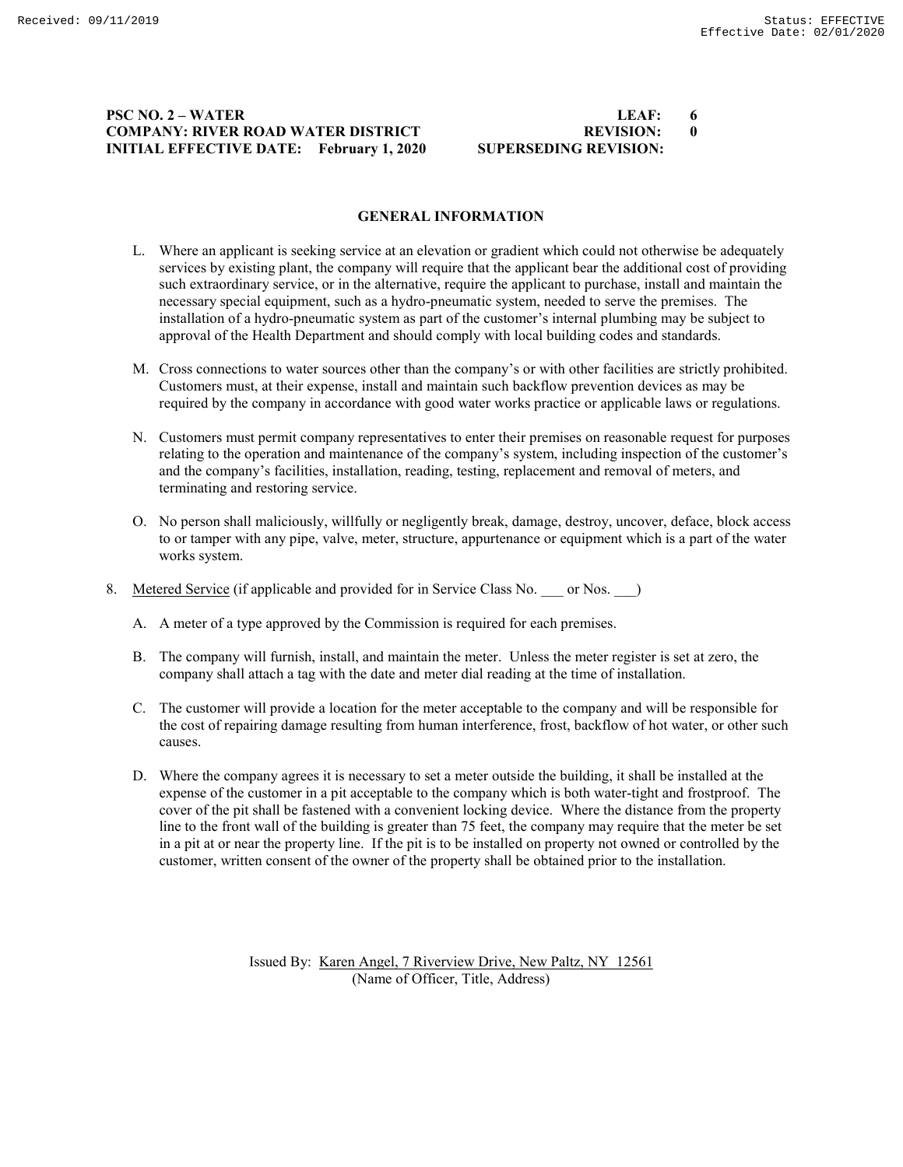# **PSC NO. 2 – WATER LEAF: 6 COMPANY: RIVER ROAD WATER DISTRICT REVISION: 0<br>
INITIAL EFFECTIVE DATE: February 1, 2020 SUPERSEDING REVISION: INITIAL EFFECTIVE DATE:** February 1, 2020

### **GENERAL INFORMATION**

- L. Where an applicant is seeking service at an elevation or gradient which could not otherwise be adequately services by existing plant, the company will require that the applicant bear the additional cost of providing such extraordinary service, or in the alternative, require the applicant to purchase, install and maintain the necessary special equipment, such as a hydro-pneumatic system, needed to serve the premises. The installation of a hydro-pneumatic system as part of the customer's internal plumbing may be subject to approval of the Health Department and should comply with local building codes and standards.
- M. Cross connections to water sources other than the company's or with other facilities are strictly prohibited. Customers must, at their expense, install and maintain such backflow prevention devices as may be required by the company in accordance with good water works practice or applicable laws or regulations.
- N. Customers must permit company representatives to enter their premises on reasonable request for purposes relating to the operation and maintenance of the company's system, including inspection of the customer's and the company's facilities, installation, reading, testing, replacement and removal of meters, and terminating and restoring service.
- O. No person shall maliciously, willfully or negligently break, damage, destroy, uncover, deface, block access to or tamper with any pipe, valve, meter, structure, appurtenance or equipment which is a part of the water works system.
- 8. Metered Service (if applicable and provided for in Service Class No. \_\_\_ or Nos. \_\_ )
	- A. A meter of a type approved by the Commission is required for each premises.
	- B. The company will furnish, install, and maintain the meter. Unless the meter register is set at zero, the company shall attach a tag with the date and meter dial reading at the time of installation.
	- C. The customer will provide a location for the meter acceptable to the company and will be responsible for the cost of repairing damage resulting from human interference, frost, backflow of hot water, or other such causes.
	- D. Where the company agrees it is necessary to set a meter outside the building, it shall be installed at the expense of the customer in a pit acceptable to the company which is both water-tight and frostproof. The cover of the pit shall be fastened with a convenient locking device. Where the distance from the property line to the front wall of the building is greater than 75 feet, the company may require that the meter be set in a pit at or near the property line. If the pit is to be installed on property not owned or controlled by the customer, written consent of the owner of the property shall be obtained prior to the installation.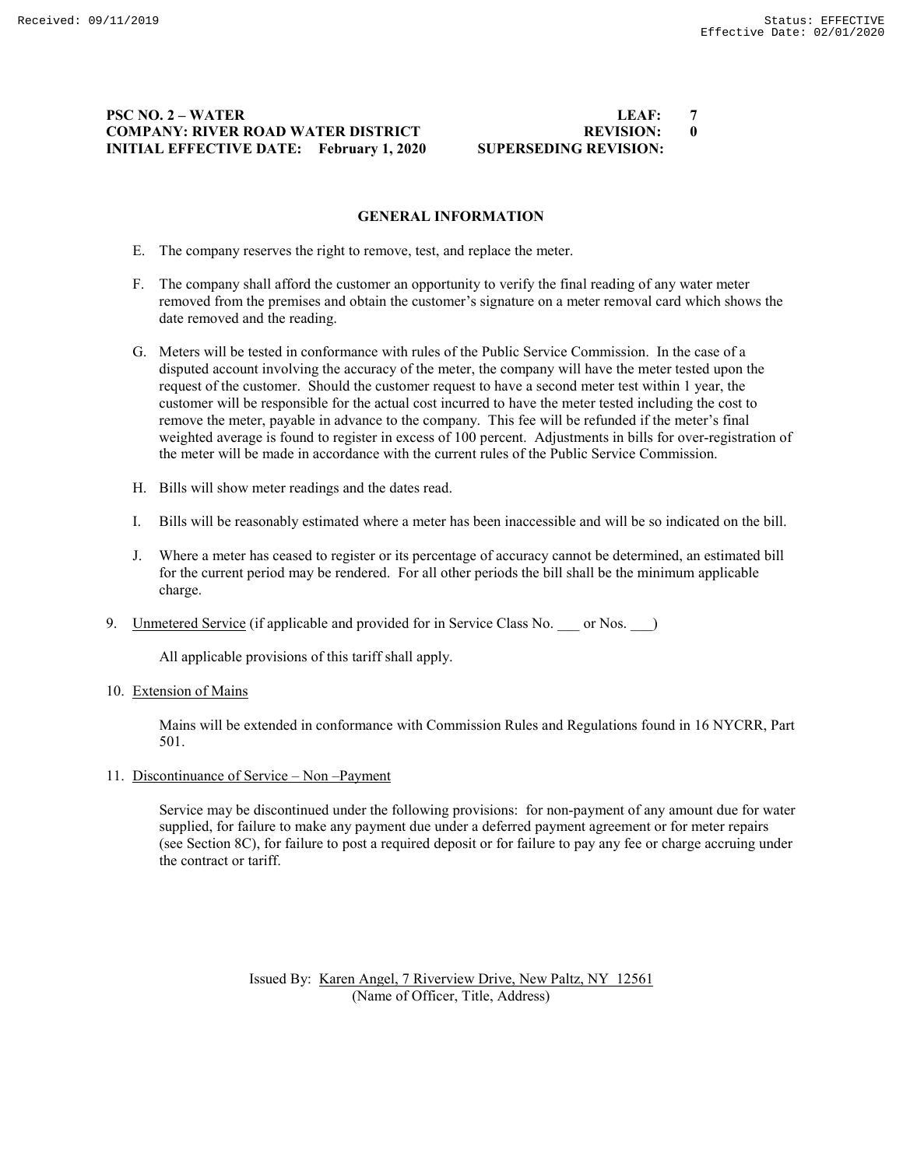# **PSC NO. 2 – WATER LEAF: 7 COMPANY: RIVER ROAD WATER DISTRICT REVISION: 0<br>
INITIAL EFFECTIVE DATE: February 1, 2020 SUPERSEDING REVISION: INITIAL EFFECTIVE DATE: February 1, 2020**

### **GENERAL INFORMATION**

- E. The company reserves the right to remove, test, and replace the meter.
- F. The company shall afford the customer an opportunity to verify the final reading of any water meter removed from the premises and obtain the customer's signature on a meter removal card which shows the date removed and the reading.
- G. Meters will be tested in conformance with rules of the Public Service Commission. In the case of a disputed account involving the accuracy of the meter, the company will have the meter tested upon the request of the customer. Should the customer request to have a second meter test within 1 year, the customer will be responsible for the actual cost incurred to have the meter tested including the cost to remove the meter, payable in advance to the company. This fee will be refunded if the meter's final weighted average is found to register in excess of 100 percent. Adjustments in bills for over-registration of the meter will be made in accordance with the current rules of the Public Service Commission.
- H. Bills will show meter readings and the dates read.
- I. Bills will be reasonably estimated where a meter has been inaccessible and will be so indicated on the bill.
- J. Where a meter has ceased to register or its percentage of accuracy cannot be determined, an estimated bill for the current period may be rendered. For all other periods the bill shall be the minimum applicable charge.
- 9. Unmetered Service (if applicable and provided for in Service Class No. \_\_\_ or Nos. \_\_)

All applicable provisions of this tariff shall apply.

10. Extension of Mains

Mains will be extended in conformance with Commission Rules and Regulations found in 16 NYCRR, Part 501.

11. Discontinuance of Service – Non –Payment

Service may be discontinued under the following provisions: for non-payment of any amount due for water supplied, for failure to make any payment due under a deferred payment agreement or for meter repairs (see Section 8C), for failure to post a required deposit or for failure to pay any fee or charge accruing under the contract or tariff.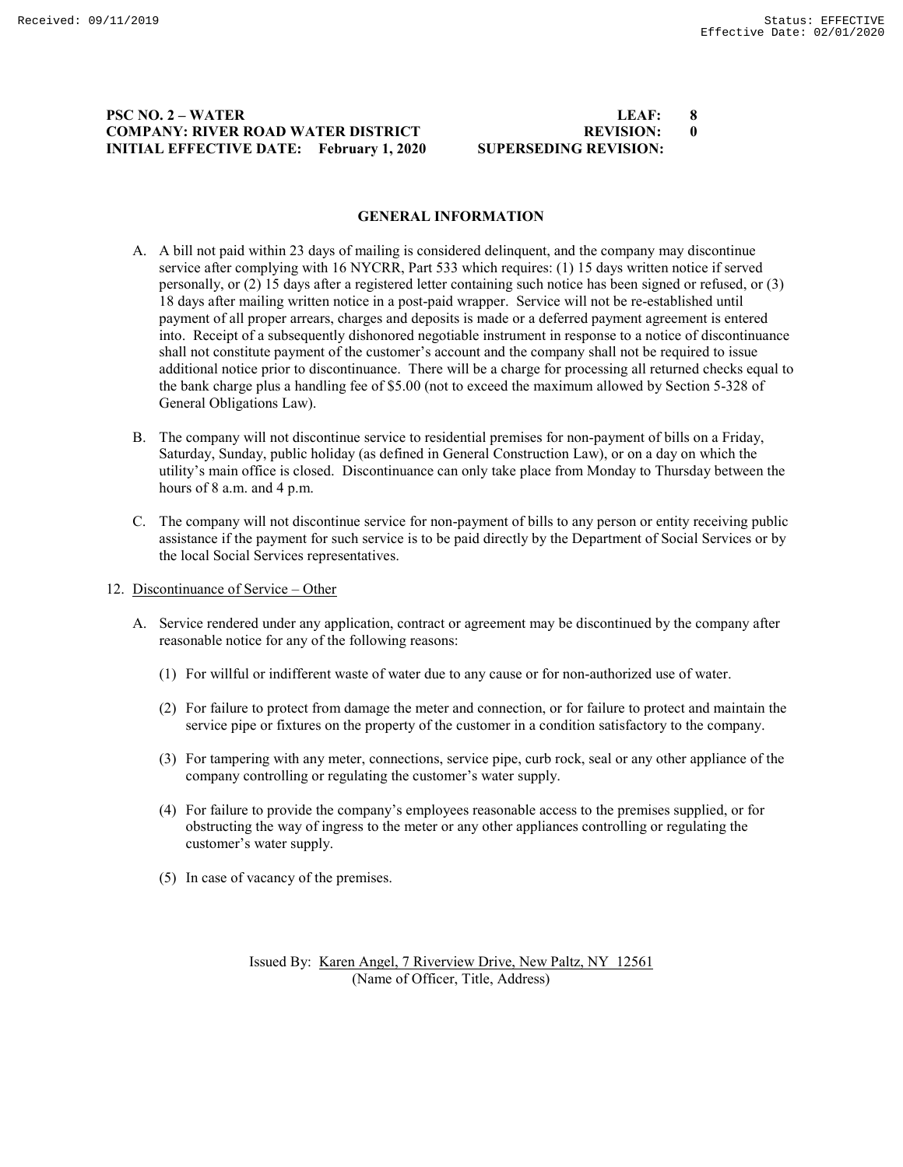# **PSC NO. 2 – WATER LEAF: 8 COMPANY: RIVER ROAD WATER DISTRICT BEVISION: 0 INITIAL EFFECTIVE DATE: February 1, 2020 SUPERSEDING REVISION:**

### **GENERAL INFORMATION**

- A. A bill not paid within 23 days of mailing is considered delinquent, and the company may discontinue service after complying with 16 NYCRR, Part 533 which requires: (1) 15 days written notice if served personally, or (2) 15 days after a registered letter containing such notice has been signed or refused, or (3) 18 days after mailing written notice in a post-paid wrapper. Service will not be re-established until payment of all proper arrears, charges and deposits is made or a deferred payment agreement is entered into. Receipt of a subsequently dishonored negotiable instrument in response to a notice of discontinuance shall not constitute payment of the customer's account and the company shall not be required to issue additional notice prior to discontinuance. There will be a charge for processing all returned checks equal to the bank charge plus a handling fee of \$5.00 (not to exceed the maximum allowed by Section 5-328 of General Obligations Law).
- B. The company will not discontinue service to residential premises for non-payment of bills on a Friday, Saturday, Sunday, public holiday (as defined in General Construction Law), or on a day on which the utility's main office is closed. Discontinuance can only take place from Monday to Thursday between the hours of 8 a.m. and 4 p.m.
- C. The company will not discontinue service for non-payment of bills to any person or entity receiving public assistance if the payment for such service is to be paid directly by the Department of Social Services or by the local Social Services representatives.
- 12. Discontinuance of Service Other
	- A. Service rendered under any application, contract or agreement may be discontinued by the company after reasonable notice for any of the following reasons:
		- (1) For willful or indifferent waste of water due to any cause or for non-authorized use of water.
		- (2) For failure to protect from damage the meter and connection, or for failure to protect and maintain the service pipe or fixtures on the property of the customer in a condition satisfactory to the company.
		- (3) For tampering with any meter, connections, service pipe, curb rock, seal or any other appliance of the company controlling or regulating the customer's water supply.
		- (4) For failure to provide the company's employees reasonable access to the premises supplied, or for obstructing the way of ingress to the meter or any other appliances controlling or regulating the customer's water supply.
		- (5) In case of vacancy of the premises.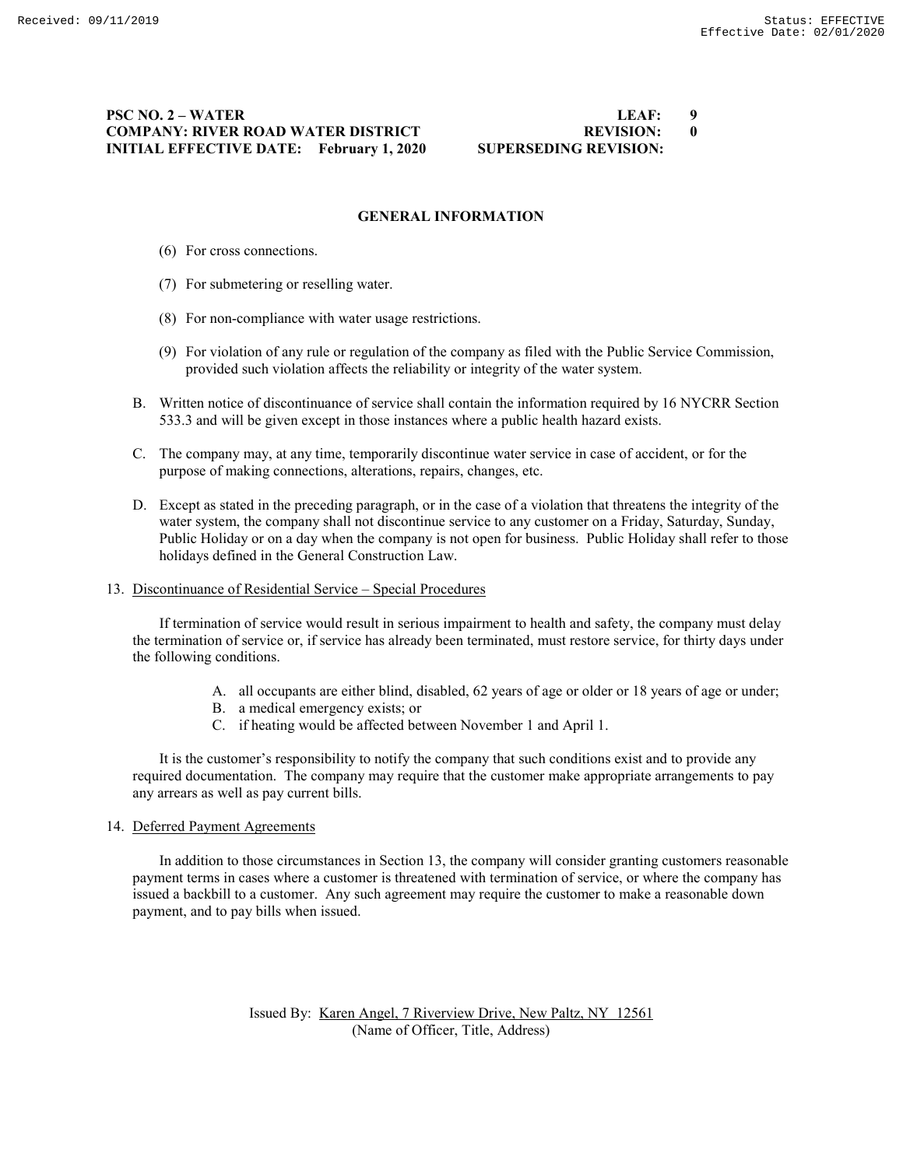# **PSC NO. 2 – WATER LEAF: 9 COMPANY: RIVER ROAD WATER DISTRICT REVISION: 0<br>
INITIAL EFFECTIVE DATE: February 1, 2020 SUPERSEDING REVISION: INITIAL EFFECTIVE DATE:** February 1, 2020

### **GENERAL INFORMATION**

- (6) For cross connections.
- (7) For submetering or reselling water.
- (8) For non-compliance with water usage restrictions.
- (9) For violation of any rule or regulation of the company as filed with the Public Service Commission, provided such violation affects the reliability or integrity of the water system.
- B. Written notice of discontinuance of service shall contain the information required by 16 NYCRR Section 533.3 and will be given except in those instances where a public health hazard exists.
- C. The company may, at any time, temporarily discontinue water service in case of accident, or for the purpose of making connections, alterations, repairs, changes, etc.
- D. Except as stated in the preceding paragraph, or in the case of a violation that threatens the integrity of the water system, the company shall not discontinue service to any customer on a Friday, Saturday, Sunday, Public Holiday or on a day when the company is not open for business. Public Holiday shall refer to those holidays defined in the General Construction Law.
- 13. Discontinuance of Residential Service Special Procedures

If termination of service would result in serious impairment to health and safety, the company must delay the termination of service or, if service has already been terminated, must restore service, for thirty days under the following conditions.

- A. all occupants are either blind, disabled, 62 years of age or older or 18 years of age or under;
- B. a medical emergency exists; or
- C. if heating would be affected between November 1 and April 1.

It is the customer's responsibility to notify the company that such conditions exist and to provide any required documentation. The company may require that the customer make appropriate arrangements to pay any arrears as well as pay current bills.

# 14. Deferred Payment Agreements

In addition to those circumstances in Section 13, the company will consider granting customers reasonable payment terms in cases where a customer is threatened with termination of service, or where the company has issued a backbill to a customer. Any such agreement may require the customer to make a reasonable down payment, and to pay bills when issued.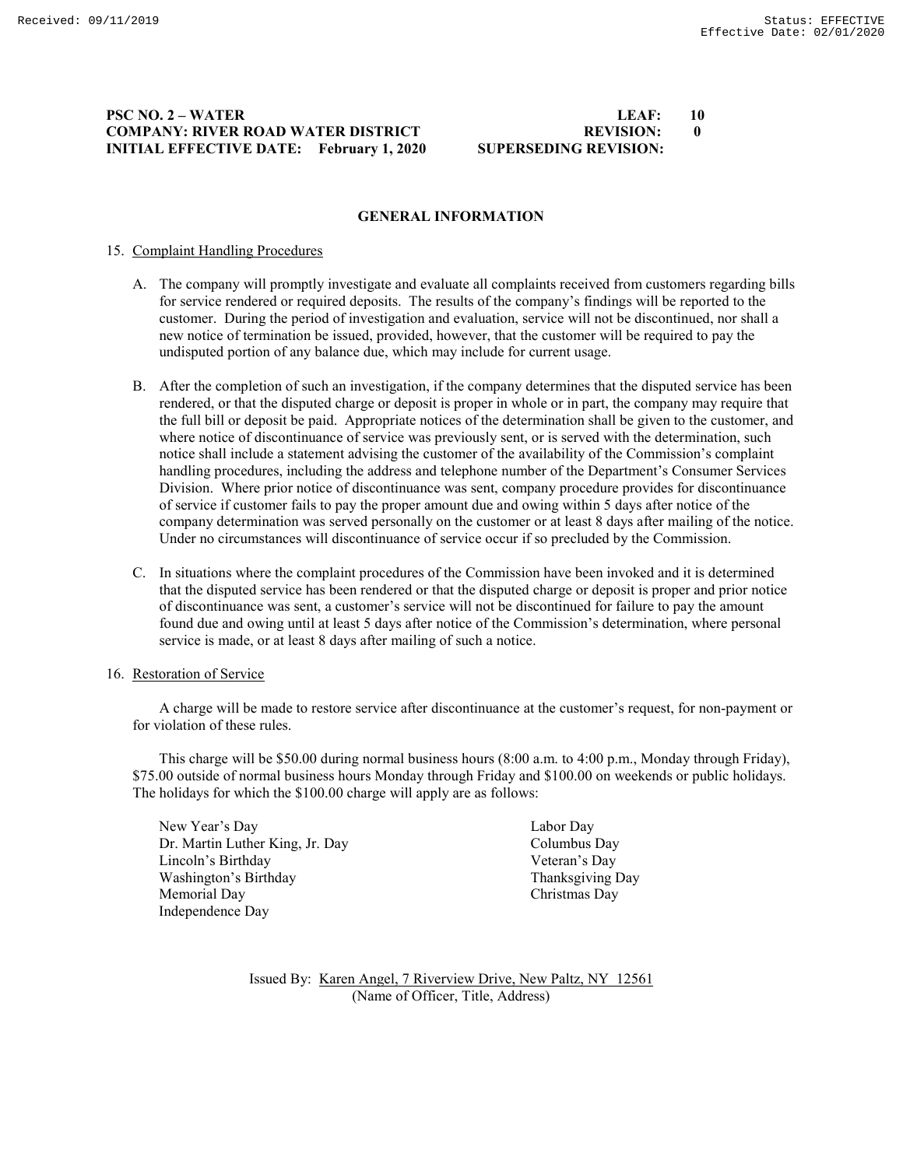# **PSC NO. 2 – WATER LEAF: 10 COMPANY: RIVER ROAD WATER DISTRICT REVISION: 0 INITIAL EFFECTIVE DATE:** February 1, 2020

### **GENERAL INFORMATION**

### 15. Complaint Handling Procedures

- A. The company will promptly investigate and evaluate all complaints received from customers regarding bills for service rendered or required deposits. The results of the company's findings will be reported to the customer. During the period of investigation and evaluation, service will not be discontinued, nor shall a new notice of termination be issued, provided, however, that the customer will be required to pay the undisputed portion of any balance due, which may include for current usage.
- B. After the completion of such an investigation, if the company determines that the disputed service has been rendered, or that the disputed charge or deposit is proper in whole or in part, the company may require that the full bill or deposit be paid. Appropriate notices of the determination shall be given to the customer, and where notice of discontinuance of service was previously sent, or is served with the determination, such notice shall include a statement advising the customer of the availability of the Commission's complaint handling procedures, including the address and telephone number of the Department's Consumer Services Division. Where prior notice of discontinuance was sent, company procedure provides for discontinuance of service if customer fails to pay the proper amount due and owing within 5 days after notice of the company determination was served personally on the customer or at least 8 days after mailing of the notice. Under no circumstances will discontinuance of service occur if so precluded by the Commission.
- C. In situations where the complaint procedures of the Commission have been invoked and it is determined that the disputed service has been rendered or that the disputed charge or deposit is proper and prior notice of discontinuance was sent, a customer's service will not be discontinued for failure to pay the amount found due and owing until at least 5 days after notice of the Commission's determination, where personal service is made, or at least 8 days after mailing of such a notice.

#### 16. Restoration of Service

A charge will be made to restore service after discontinuance at the customer's request, for non-payment or for violation of these rules.

This charge will be \$50.00 during normal business hours (8:00 a.m. to 4:00 p.m., Monday through Friday), \$75.00 outside of normal business hours Monday through Friday and \$100.00 on weekends or public holidays. The holidays for which the \$100.00 charge will apply are as follows:

New Year's Day Labor Day Dr. Martin Luther King, Jr. Day Columbus Day Lincoln's Birthday <br>
Veteran's Day Veteran's Day<br>
Thanksgiving Day (Veteran's Day Veteran's Day Veteran's Day Washington's Birthday Memorial Day Christmas Day Independence Day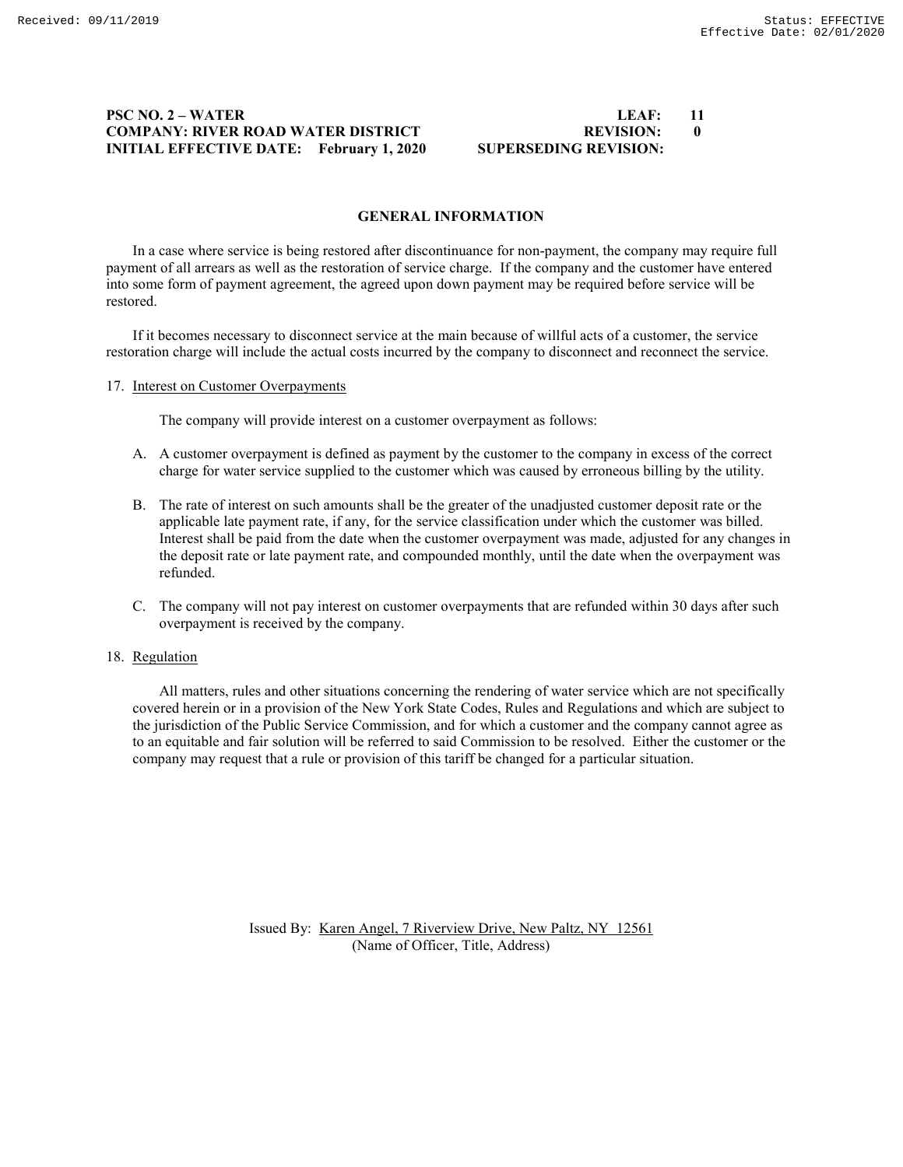# **PSC NO. 2 – WATER LEAF: 11 COMPANY: RIVER ROAD WATER DISTRICT BEVISION: 00 INITIAL EFFECTIVE DATE: February 1, 2020 SUPERSEDING REVISION:**

### **GENERAL INFORMATION**

In a case where service is being restored after discontinuance for non-payment, the company may require full payment of all arrears as well as the restoration of service charge. If the company and the customer have entered into some form of payment agreement, the agreed upon down payment may be required before service will be restored.

If it becomes necessary to disconnect service at the main because of willful acts of a customer, the service restoration charge will include the actual costs incurred by the company to disconnect and reconnect the service.

#### 17. Interest on Customer Overpayments

The company will provide interest on a customer overpayment as follows:

- A. A customer overpayment is defined as payment by the customer to the company in excess of the correct charge for water service supplied to the customer which was caused by erroneous billing by the utility.
- B. The rate of interest on such amounts shall be the greater of the unadjusted customer deposit rate or the applicable late payment rate, if any, for the service classification under which the customer was billed. Interest shall be paid from the date when the customer overpayment was made, adjusted for any changes in the deposit rate or late payment rate, and compounded monthly, until the date when the overpayment was refunded.
- C. The company will not pay interest on customer overpayments that are refunded within 30 days after such overpayment is received by the company.

#### 18. Regulation

All matters, rules and other situations concerning the rendering of water service which are not specifically covered herein or in a provision of the New York State Codes, Rules and Regulations and which are subject to the jurisdiction of the Public Service Commission, and for which a customer and the company cannot agree as to an equitable and fair solution will be referred to said Commission to be resolved. Either the customer or the company may request that a rule or provision of this tariff be changed for a particular situation.